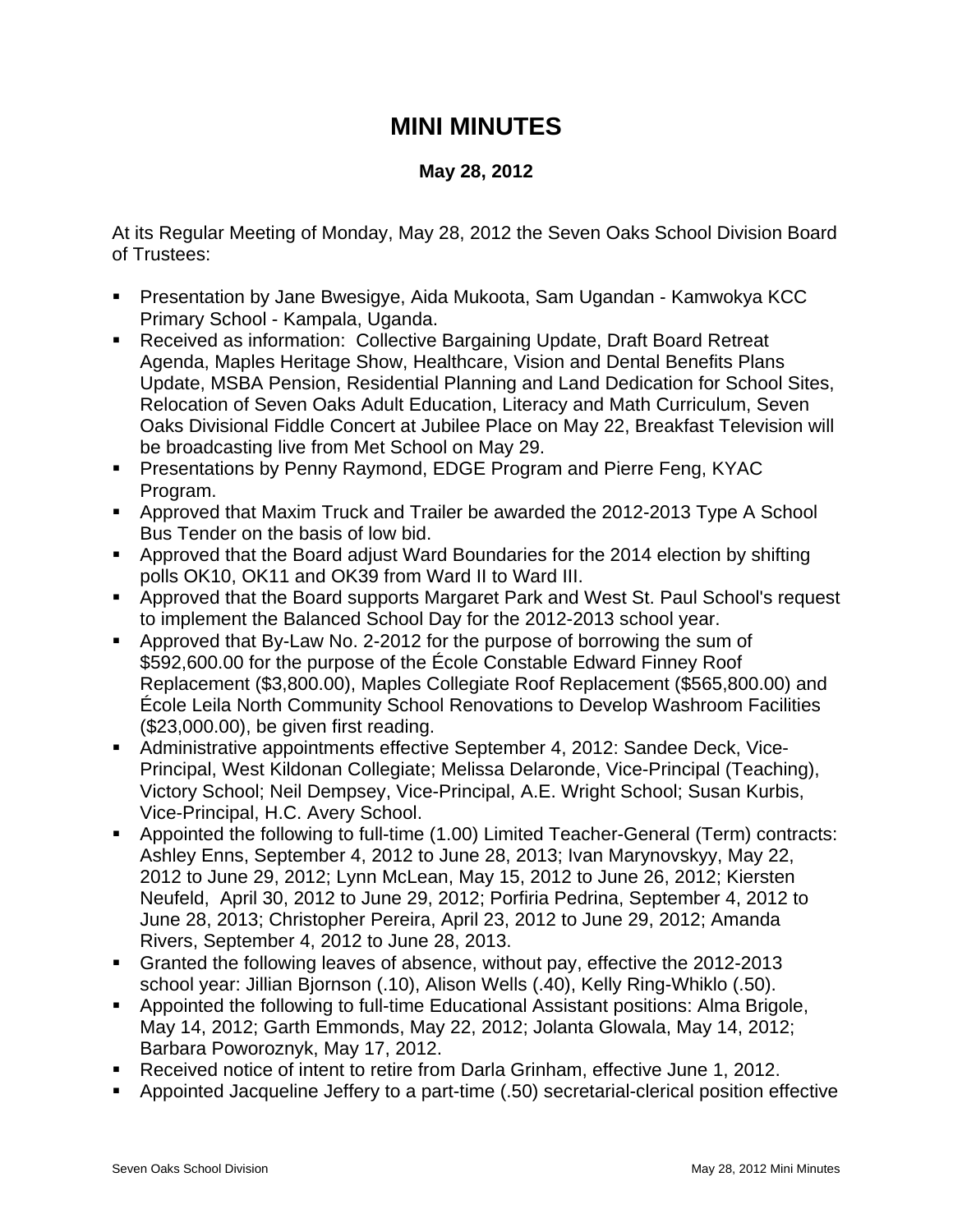## **MINI MINUTES**

## **May 28, 2012**

At its Regular Meeting of Monday, May 28, 2012 the Seven Oaks School Division Board of Trustees:

- Presentation by Jane Bwesigye, Aida Mukoota, Sam Ugandan Kamwokya KCC Primary School - Kampala, Uganda.
- Received as information: Collective Bargaining Update, Draft Board Retreat Agenda, Maples Heritage Show, Healthcare, Vision and Dental Benefits Plans Update, MSBA Pension, Residential Planning and Land Dedication for School Sites, Relocation of Seven Oaks Adult Education, Literacy and Math Curriculum, Seven Oaks Divisional Fiddle Concert at Jubilee Place on May 22, Breakfast Television will be broadcasting live from Met School on May 29.
- Presentations by Penny Raymond, EDGE Program and Pierre Feng, KYAC Program.
- Approved that Maxim Truck and Trailer be awarded the 2012-2013 Type A School Bus Tender on the basis of low bid.
- Approved that the Board adjust Ward Boundaries for the 2014 election by shifting polls OK10, OK11 and OK39 from Ward II to Ward III.
- Approved that the Board supports Margaret Park and West St. Paul School's request to implement the Balanced School Day for the 2012-2013 school year.
- Approved that By-Law No. 2-2012 for the purpose of borrowing the sum of \$592,600.00 for the purpose of the École Constable Edward Finney Roof Replacement (\$3,800.00), Maples Collegiate Roof Replacement (\$565,800.00) and École Leila North Community School Renovations to Develop Washroom Facilities (\$23,000.00), be given first reading.
- Administrative appointments effective September 4, 2012: Sandee Deck, Vice-Principal, West Kildonan Collegiate; Melissa Delaronde, Vice-Principal (Teaching), Victory School; Neil Dempsey, Vice-Principal, A.E. Wright School; Susan Kurbis, Vice-Principal, H.C. Avery School.
- Appointed the following to full-time (1.00) Limited Teacher-General (Term) contracts: Ashley Enns, September 4, 2012 to June 28, 2013; Ivan Marynovskyy, May 22, 2012 to June 29, 2012; Lynn McLean, May 15, 2012 to June 26, 2012; Kiersten Neufeld, April 30, 2012 to June 29, 2012; Porfiria Pedrina, September 4, 2012 to June 28, 2013; Christopher Pereira, April 23, 2012 to June 29, 2012; Amanda Rivers, September 4, 2012 to June 28, 2013.
- Granted the following leaves of absence, without pay, effective the 2012-2013 school year: Jillian Bjornson (.10), Alison Wells (.40), Kelly Ring-Whiklo (.50).
- Appointed the following to full-time Educational Assistant positions: Alma Brigole, May 14, 2012; Garth Emmonds, May 22, 2012; Jolanta Glowala, May 14, 2012; Barbara Poworoznyk, May 17, 2012.
- Received notice of intent to retire from Darla Grinham, effective June 1, 2012.
- Appointed Jacqueline Jeffery to a part-time (.50) secretarial-clerical position effective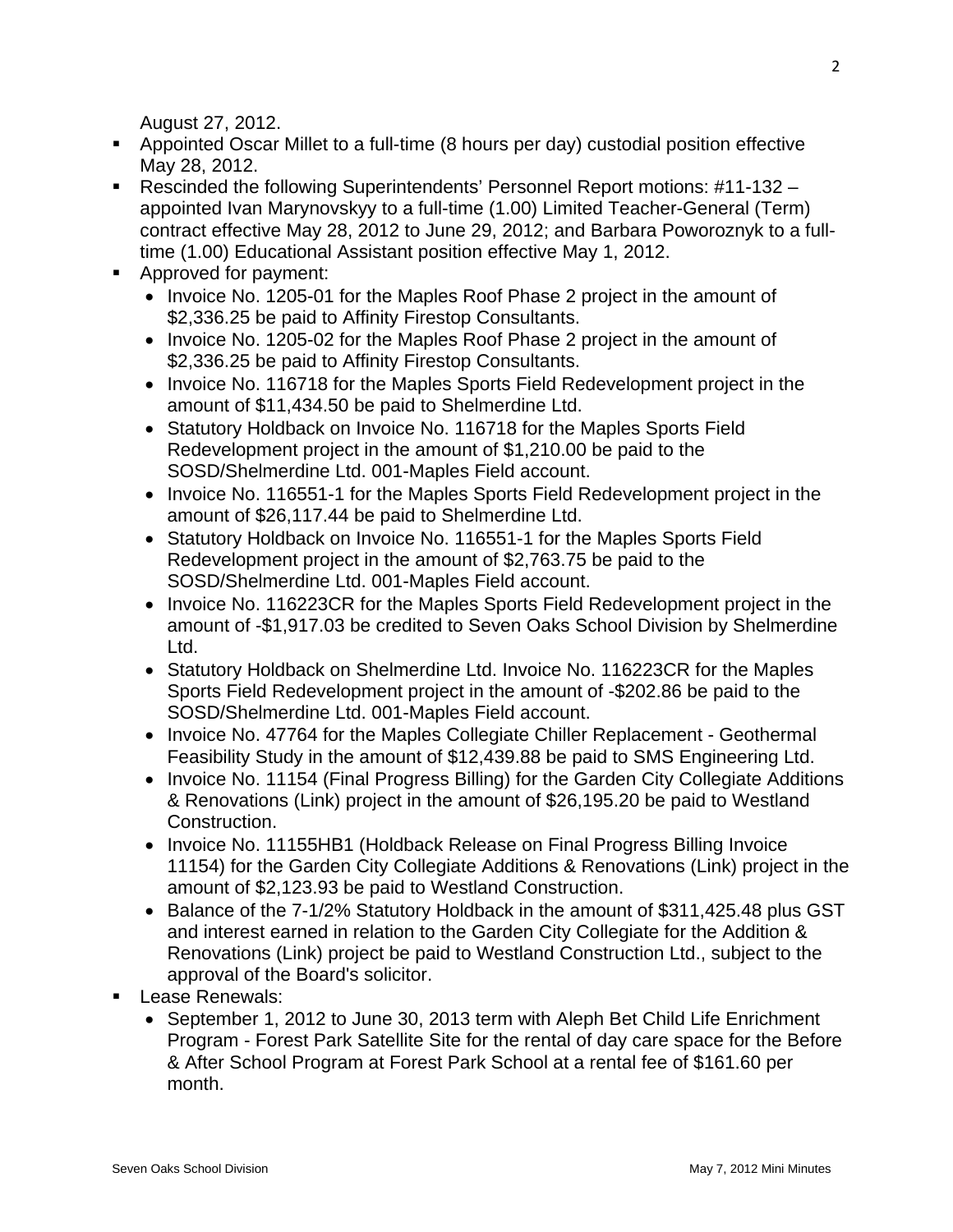August 27, 2012.

- Appointed Oscar Millet to a full-time (8 hours per day) custodial position effective May 28, 2012.
- Rescinded the following Superintendents' Personnel Report motions: #11-132 appointed Ivan Marynovskyy to a full-time (1.00) Limited Teacher-General (Term) contract effective May 28, 2012 to June 29, 2012; and Barbara Poworoznyk to a fulltime (1.00) Educational Assistant position effective May 1, 2012.
- **Approved for payment:** 
	- Invoice No. 1205-01 for the Maples Roof Phase 2 project in the amount of \$2,336.25 be paid to Affinity Firestop Consultants.
	- Invoice No. 1205-02 for the Maples Roof Phase 2 project in the amount of \$2,336.25 be paid to Affinity Firestop Consultants.
	- Invoice No. 116718 for the Maples Sports Field Redevelopment project in the amount of \$11,434.50 be paid to Shelmerdine Ltd.
	- Statutory Holdback on Invoice No. 116718 for the Maples Sports Field Redevelopment project in the amount of \$1,210.00 be paid to the SOSD/Shelmerdine Ltd. 001-Maples Field account.
	- Invoice No. 116551-1 for the Maples Sports Field Redevelopment project in the amount of \$26,117.44 be paid to Shelmerdine Ltd.
	- Statutory Holdback on Invoice No. 116551-1 for the Maples Sports Field Redevelopment project in the amount of \$2,763.75 be paid to the SOSD/Shelmerdine Ltd. 001-Maples Field account.
	- Invoice No. 116223CR for the Maples Sports Field Redevelopment project in the amount of -\$1,917.03 be credited to Seven Oaks School Division by Shelmerdine Ltd.
	- Statutory Holdback on Shelmerdine Ltd. Invoice No. 116223CR for the Maples Sports Field Redevelopment project in the amount of -\$202.86 be paid to the SOSD/Shelmerdine Ltd. 001-Maples Field account.
	- Invoice No. 47764 for the Maples Collegiate Chiller Replacement Geothermal Feasibility Study in the amount of \$12,439.88 be paid to SMS Engineering Ltd.
	- Invoice No. 11154 (Final Progress Billing) for the Garden City Collegiate Additions & Renovations (Link) project in the amount of \$26,195.20 be paid to Westland Construction.
	- Invoice No. 11155HB1 (Holdback Release on Final Progress Billing Invoice 11154) for the Garden City Collegiate Additions & Renovations (Link) project in the amount of \$2,123.93 be paid to Westland Construction.
	- Balance of the 7-1/2% Statutory Holdback in the amount of \$311,425.48 plus GST and interest earned in relation to the Garden City Collegiate for the Addition & Renovations (Link) project be paid to Westland Construction Ltd., subject to the approval of the Board's solicitor.
- **Lease Renewals:** 
	- September 1, 2012 to June 30, 2013 term with Aleph Bet Child Life Enrichment Program - Forest Park Satellite Site for the rental of day care space for the Before & After School Program at Forest Park School at a rental fee of \$161.60 per month.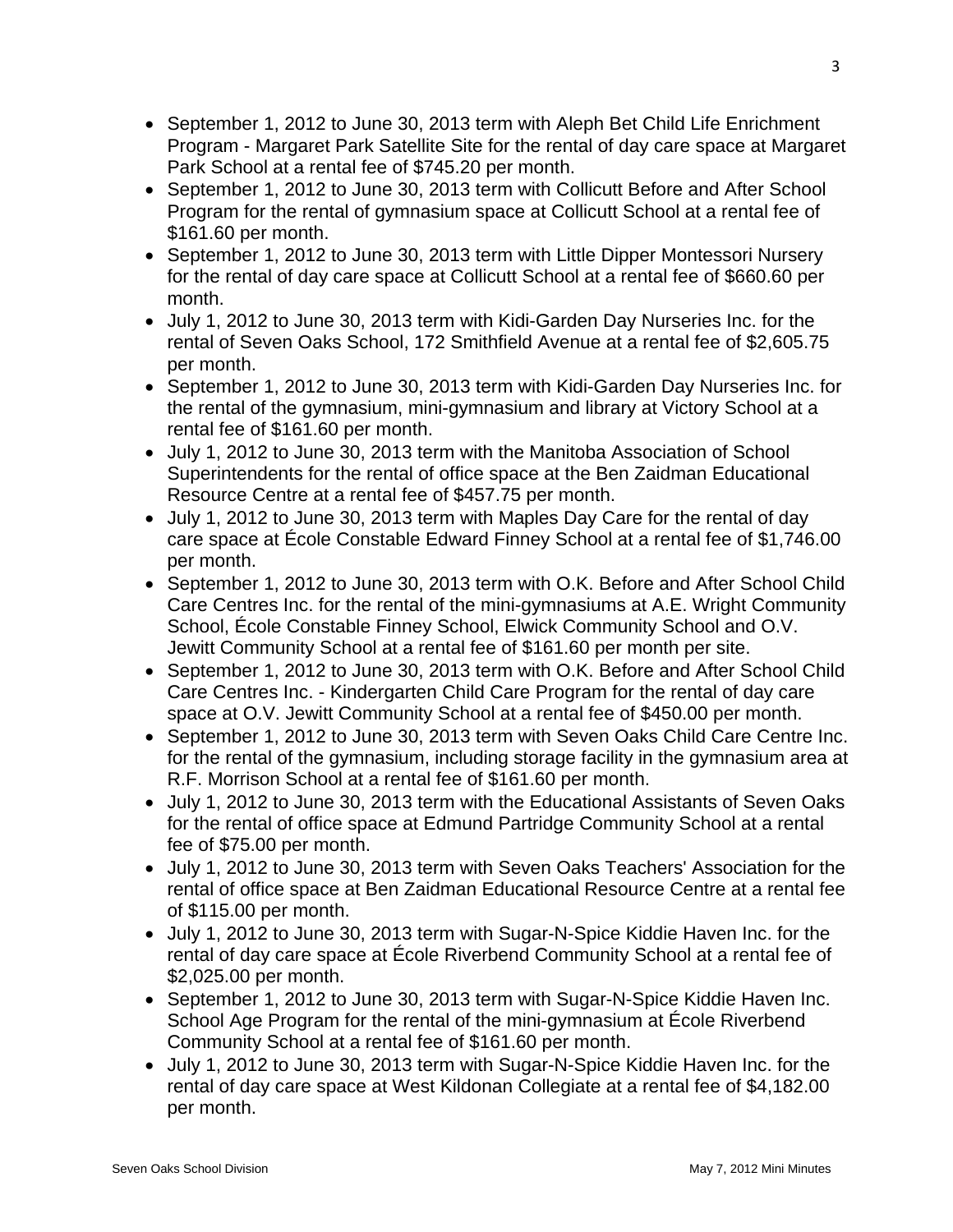- September 1, 2012 to June 30, 2013 term with Aleph Bet Child Life Enrichment Program - Margaret Park Satellite Site for the rental of day care space at Margaret Park School at a rental fee of \$745.20 per month.
- September 1, 2012 to June 30, 2013 term with Collicutt Before and After School Program for the rental of gymnasium space at Collicutt School at a rental fee of \$161.60 per month.
- September 1, 2012 to June 30, 2013 term with Little Dipper Montessori Nursery for the rental of day care space at Collicutt School at a rental fee of \$660.60 per month.
- July 1, 2012 to June 30, 2013 term with Kidi-Garden Day Nurseries Inc. for the rental of Seven Oaks School, 172 Smithfield Avenue at a rental fee of \$2,605.75 per month.
- September 1, 2012 to June 30, 2013 term with Kidi-Garden Day Nurseries Inc. for the rental of the gymnasium, mini-gymnasium and library at Victory School at a rental fee of \$161.60 per month.
- July 1, 2012 to June 30, 2013 term with the Manitoba Association of School Superintendents for the rental of office space at the Ben Zaidman Educational Resource Centre at a rental fee of \$457.75 per month.
- July 1, 2012 to June 30, 2013 term with Maples Day Care for the rental of day care space at École Constable Edward Finney School at a rental fee of \$1,746.00 per month.
- September 1, 2012 to June 30, 2013 term with O.K. Before and After School Child Care Centres Inc. for the rental of the mini-gymnasiums at A.E. Wright Community School, École Constable Finney School, Elwick Community School and O.V. Jewitt Community School at a rental fee of \$161.60 per month per site.
- September 1, 2012 to June 30, 2013 term with O.K. Before and After School Child Care Centres Inc. - Kindergarten Child Care Program for the rental of day care space at O.V. Jewitt Community School at a rental fee of \$450.00 per month.
- September 1, 2012 to June 30, 2013 term with Seven Oaks Child Care Centre Inc. for the rental of the gymnasium, including storage facility in the gymnasium area at R.F. Morrison School at a rental fee of \$161.60 per month.
- July 1, 2012 to June 30, 2013 term with the Educational Assistants of Seven Oaks for the rental of office space at Edmund Partridge Community School at a rental fee of \$75.00 per month.
- July 1, 2012 to June 30, 2013 term with Seven Oaks Teachers' Association for the rental of office space at Ben Zaidman Educational Resource Centre at a rental fee of \$115.00 per month.
- July 1, 2012 to June 30, 2013 term with Sugar-N-Spice Kiddie Haven Inc. for the rental of day care space at École Riverbend Community School at a rental fee of \$2,025.00 per month.
- September 1, 2012 to June 30, 2013 term with Sugar-N-Spice Kiddie Haven Inc. School Age Program for the rental of the mini-gymnasium at École Riverbend Community School at a rental fee of \$161.60 per month.
- July 1, 2012 to June 30, 2013 term with Sugar-N-Spice Kiddie Haven Inc. for the rental of day care space at West Kildonan Collegiate at a rental fee of \$4,182.00 per month.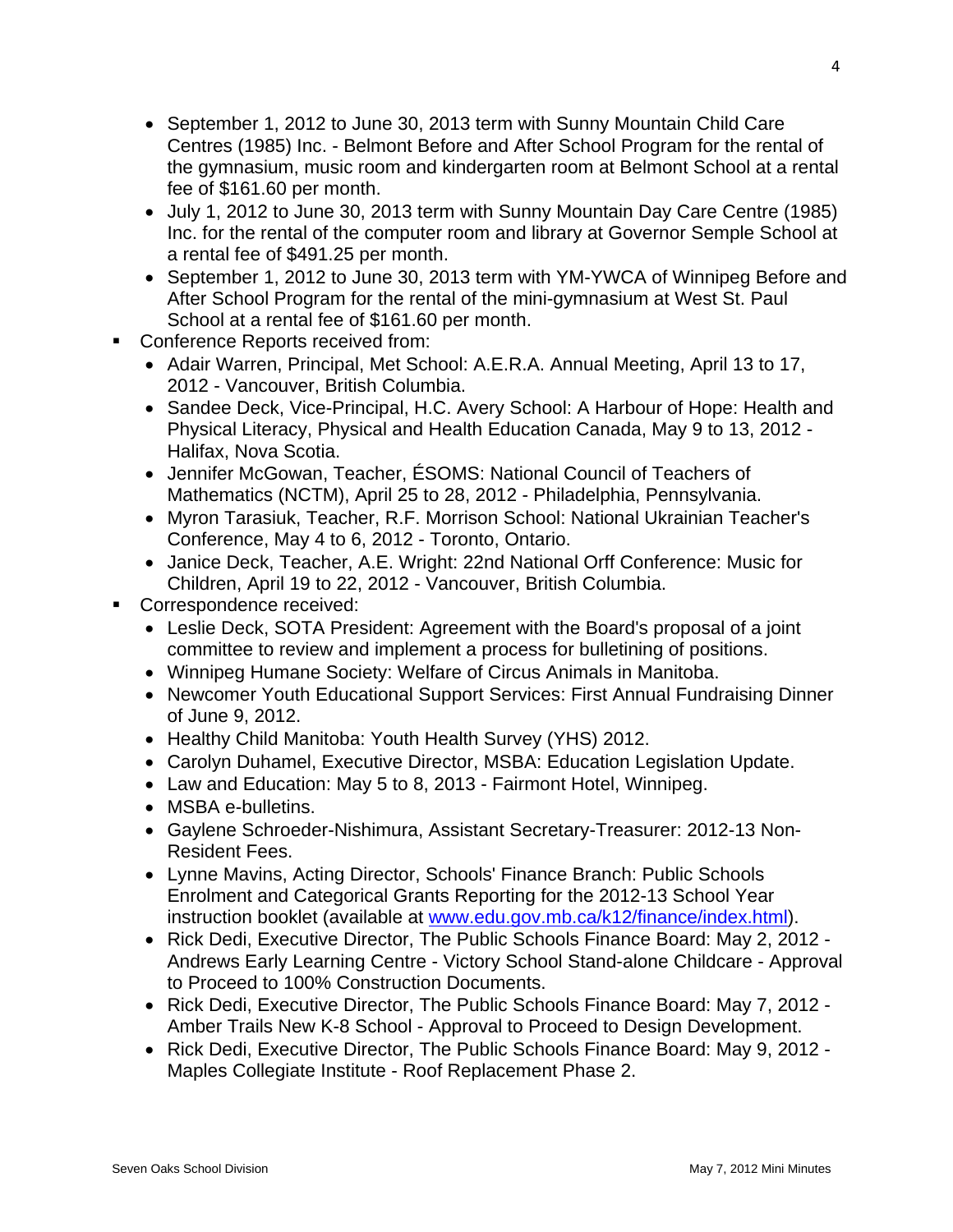- September 1, 2012 to June 30, 2013 term with Sunny Mountain Child Care Centres (1985) Inc. - Belmont Before and After School Program for the rental of the gymnasium, music room and kindergarten room at Belmont School at a rental fee of \$161.60 per month.
- July 1, 2012 to June 30, 2013 term with Sunny Mountain Day Care Centre (1985) Inc. for the rental of the computer room and library at Governor Semple School at a rental fee of \$491.25 per month.
- September 1, 2012 to June 30, 2013 term with YM-YWCA of Winnipeg Before and After School Program for the rental of the mini-gymnasium at West St. Paul School at a rental fee of \$161.60 per month.
- **Conference Reports received from:** 
	- Adair Warren, Principal, Met School: A.E.R.A. Annual Meeting, April 13 to 17, 2012 - Vancouver, British Columbia.
	- Sandee Deck, Vice-Principal, H.C. Avery School: A Harbour of Hope: Health and Physical Literacy, Physical and Health Education Canada, May 9 to 13, 2012 - Halifax, Nova Scotia.
	- Jennifer McGowan, Teacher, ÉSOMS: National Council of Teachers of Mathematics (NCTM), April 25 to 28, 2012 - Philadelphia, Pennsylvania.
	- Myron Tarasiuk, Teacher, R.F. Morrison School: National Ukrainian Teacher's Conference, May 4 to 6, 2012 - Toronto, Ontario.
	- Janice Deck, Teacher, A.E. Wright: 22nd National Orff Conference: Music for Children, April 19 to 22, 2012 - Vancouver, British Columbia.
- Correspondence received:
	- Leslie Deck, SOTA President: Agreement with the Board's proposal of a joint committee to review and implement a process for bulletining of positions.
	- Winnipeg Humane Society: Welfare of Circus Animals in Manitoba.
	- Newcomer Youth Educational Support Services: First Annual Fundraising Dinner of June 9, 2012.
	- Healthy Child Manitoba: Youth Health Survey (YHS) 2012.
	- Carolyn Duhamel, Executive Director, MSBA: Education Legislation Update.
	- Law and Education: May 5 to 8, 2013 Fairmont Hotel, Winnipeg.
	- MSBA e-bulletins.
	- Gaylene Schroeder-Nishimura, Assistant Secretary-Treasurer: 2012-13 Non-Resident Fees.
	- Lynne Mavins, Acting Director, Schools' Finance Branch: Public Schools Enrolment and Categorical Grants Reporting for the 2012-13 School Year instruction booklet (available at [www.edu.gov.mb.ca/k12/finance/index.html](http://www.edu.gov.mb.ca/k12/finance/index.html)).
	- Rick Dedi, Executive Director, The Public Schools Finance Board: May 2, 2012 Andrews Early Learning Centre - Victory School Stand-alone Childcare - Approval to Proceed to 100% Construction Documents.
	- Rick Dedi, Executive Director, The Public Schools Finance Board: May 7, 2012 Amber Trails New K-8 School - Approval to Proceed to Design Development.
	- Rick Dedi, Executive Director, The Public Schools Finance Board: May 9, 2012 Maples Collegiate Institute - Roof Replacement Phase 2.